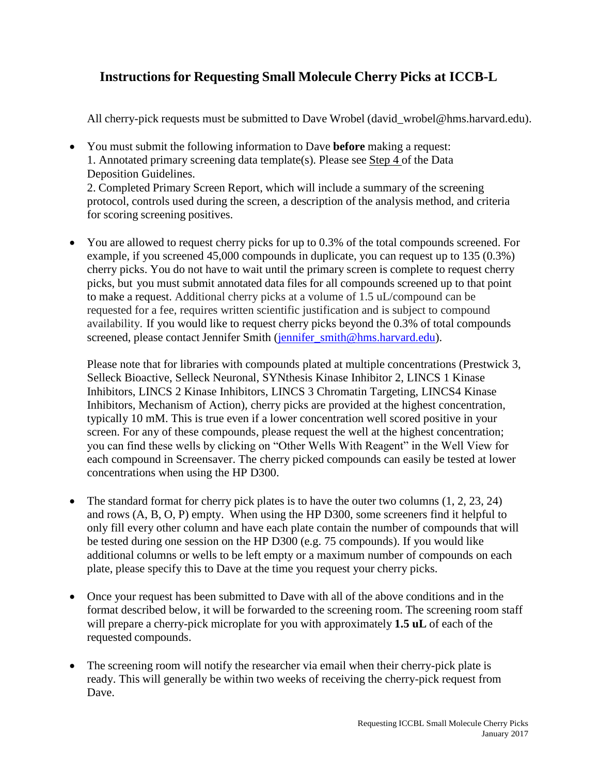## **Instructions for Requesting Small Molecule Cherry Picks at ICCB-L**

All cherry-pick requests must be submitted to Dave Wrobel (david wrobel@hms.harvard.edu).

- You must submit the following information to Dave **before** making a request: 1. Annotated primary screening data template(s). Please see Step 4 of the Data Deposition Guidelines. 2. Completed Primary Screen Report, which will include a summary of the screening protocol, controls used during the screen, a description of the analysis method, and criteria for scoring screening positives.
- You are allowed to request cherry picks for up to 0.3% of the total compounds screened. For example, if you screened 45,000 compounds in duplicate, you can request up to 135 (0.3%) cherry picks. You do not have to wait until the primary screen is complete to request cherry picks, but you must submit annotated data files for all compounds screened up to that point to make a request. Additional cherry picks at a volume of 1.5 uL/compound can be requested for a fee, requires written scientific justification and is subject to compound availability. If you would like to request cherry picks beyond the 0.3% of total compounds screened, please contact Jennifer Smith [\(jennifer\\_smith@hms.harvard.edu\)](mailto:jennifer_smith@hms.harvard.edu).

Please note that for libraries with compounds plated at multiple concentrations (Prestwick 3, Selleck Bioactive, Selleck Neuronal, SYNthesis Kinase Inhibitor 2, LINCS 1 Kinase Inhibitors, LINCS 2 Kinase Inhibitors, LINCS 3 Chromatin Targeting, LINCS4 Kinase Inhibitors, Mechanism of Action), cherry picks are provided at the highest concentration, typically 10 mM. This is true even if a lower concentration well scored positive in your screen. For any of these compounds, please request the well at the highest concentration; you can find these wells by clicking on "Other Wells With Reagent" in the Well View for each compound in Screensaver. The cherry picked compounds can easily be tested at lower concentrations when using the HP D300.

- The standard format for cherry pick plates is to have the outer two columns  $(1, 2, 23, 24)$ and rows (A, B, O, P) empty. When using the HP D300, some screeners find it helpful to only fill every other column and have each plate contain the number of compounds that will be tested during one session on the HP D300 (e.g. 75 compounds). If you would like additional columns or wells to be left empty or a maximum number of compounds on each plate, please specify this to Dave at the time you request your cherry picks.
- Once your request has been submitted to Dave with all of the above conditions and in the format described below, it will be forwarded to the screening room. The screening room staff will prepare a cherry-pick microplate for you with approximately **1.5 uL** of each of the requested compounds.
- The screening room will notify the researcher via email when their cherry-pick plate is ready. This will generally be within two weeks of receiving the cherry-pick request from Dave.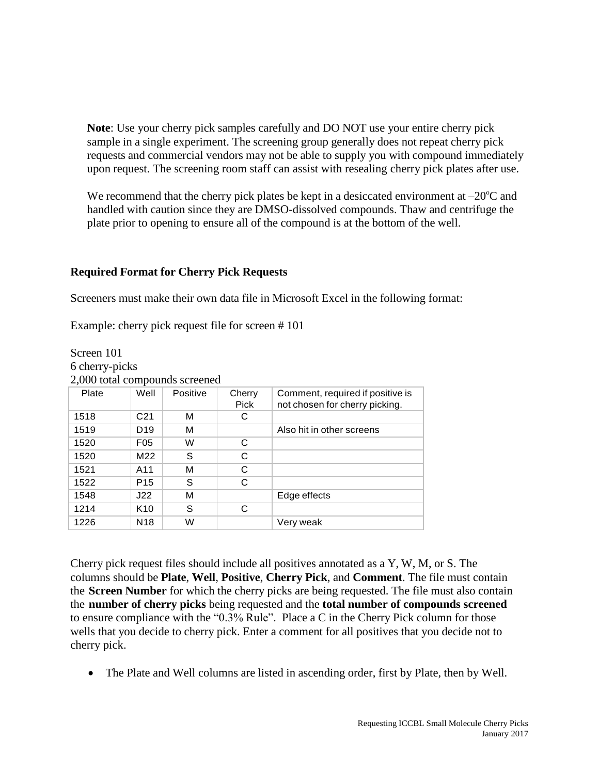**Note**: Use your cherry pick samples carefully and DO NOT use your entire cherry pick sample in a single experiment. The screening group generally does not repeat cherry pick requests and commercial vendors may not be able to supply you with compound immediately upon request. The screening room staff can assist with resealing cherry pick plates after use.

We recommend that the cherry pick plates be kept in a desiccated environment at  $-20^{\circ}$ C and handled with caution since they are DMSO-dissolved compounds. Thaw and centrifuge the plate prior to opening to ensure all of the compound is at the bottom of the well.

## **Required Format for Cherry Pick Requests**

Screeners must make their own data file in Microsoft Excel in the following format:

Example: cherry pick request file for screen # 101

Screen 101

| 6 cherry-picks                 |                 |          |                |                                                                    |
|--------------------------------|-----------------|----------|----------------|--------------------------------------------------------------------|
| 2,000 total compounds screened |                 |          |                |                                                                    |
| Plate                          | Well            | Positive | Cherry<br>Pick | Comment, required if positive is<br>not chosen for cherry picking. |
| 1518                           | C <sub>21</sub> | м        | С              |                                                                    |
| 1519                           | D <sub>19</sub> | м        |                | Also hit in other screens                                          |
| 1520                           | F <sub>05</sub> | W        | C              |                                                                    |
| 1520                           | M22             | S        | C              |                                                                    |
| 1521                           | A11             | м        | C              |                                                                    |
| 1522                           | P <sub>15</sub> | S        | C              |                                                                    |
| 1548                           | J22             | м        |                | Edge effects                                                       |
| 1214                           | K <sub>10</sub> | S        | C              |                                                                    |
| 1226                           | N <sub>18</sub> | W        |                | Very weak                                                          |

Cherry pick request files should include all positives annotated as a Y, W, M, or S. The columns should be **Plate**, **Well**, **Positive**, **Cherry Pick**, and **Comment**. The file must contain the **Screen Number** for which the cherry picks are being requested. The file must also contain the **number of cherry picks** being requested and the **total number of compounds screened** to ensure compliance with the "0.3% Rule". Place a C in the Cherry Pick column for those wells that you decide to cherry pick. Enter a comment for all positives that you decide not to cherry pick.

• The Plate and Well columns are listed in ascending order, first by Plate, then by Well.